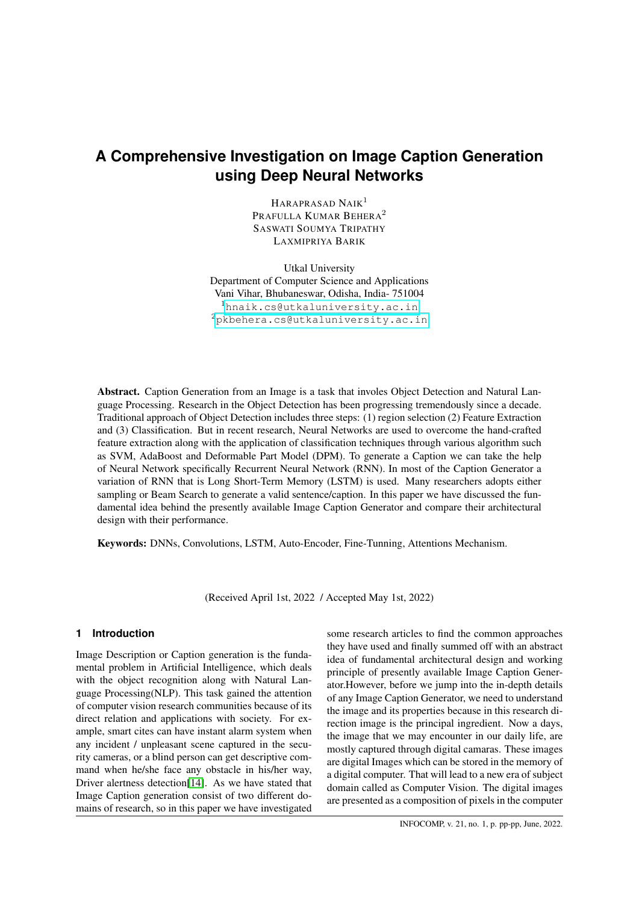# **A Comprehensive Investigation on Image Caption Generation using Deep Neural Networks**

HARAPRASAD NAIK<sup>1</sup> PRAFULLA KUMAR BEHERA<sup>2</sup> SASWATI SOUMYA TRIPATHY LAXMIPRIYA BARIK

Utkal University Department of Computer Science and Applications Vani Vihar, Bhubaneswar, Odisha, India- 751004 <sup>1</sup><hnaik.cs@utkaluniversity.ac.in> <sup>2</sup><pkbehera.cs@utkaluniversity.ac.in>

Abstract. Caption Generation from an Image is a task that involes Object Detection and Natural Language Processing. Research in the Object Detection has been progressing tremendously since a decade. Traditional approach of Object Detection includes three steps: (1) region selection (2) Feature Extraction and (3) Classification. But in recent research, Neural Networks are used to overcome the hand-crafted feature extraction along with the application of classification techniques through various algorithm such as SVM, AdaBoost and Deformable Part Model (DPM). To generate a Caption we can take the help of Neural Network specifically Recurrent Neural Network (RNN). In most of the Caption Generator a variation of RNN that is Long Short-Term Memory (LSTM) is used. Many researchers adopts either sampling or Beam Search to generate a valid sentence/caption. In this paper we have discussed the fundamental idea behind the presently available Image Caption Generator and compare their architectural design with their performance.

Keywords: DNNs, Convolutions, LSTM, Auto-Encoder, Fine-Tunning, Attentions Mechanism.

(Received April 1st, 2022 / Accepted May 1st, 2022)

## **1 Introduction**

Image Description or Caption generation is the fundamental problem in Artificial Intelligence, which deals with the object recognition along with Natural Language Processing(NLP). This task gained the attention of computer vision research communities because of its direct relation and applications with society. For example, smart cites can have instant alarm system when any incident / unpleasant scene captured in the security cameras, or a blind person can get descriptive command when he/she face any obstacle in his/her way, Driver alertness detection[\[14\]](#page-8-0). As we have stated that Image Caption generation consist of two different domains of research, so in this paper we have investigated some research articles to find the common approaches they have used and finally summed off with an abstract idea of fundamental architectural design and working principle of presently available Image Caption Generator.However, before we jump into the in-depth details of any Image Caption Generator, we need to understand the image and its properties because in this research direction image is the principal ingredient. Now a days, the image that we may encounter in our daily life, are mostly captured through digital camaras. These images are digital Images which can be stored in the memory of a digital computer. That will lead to a new era of subject domain called as Computer Vision. The digital images are presented as a composition of pixels in the computer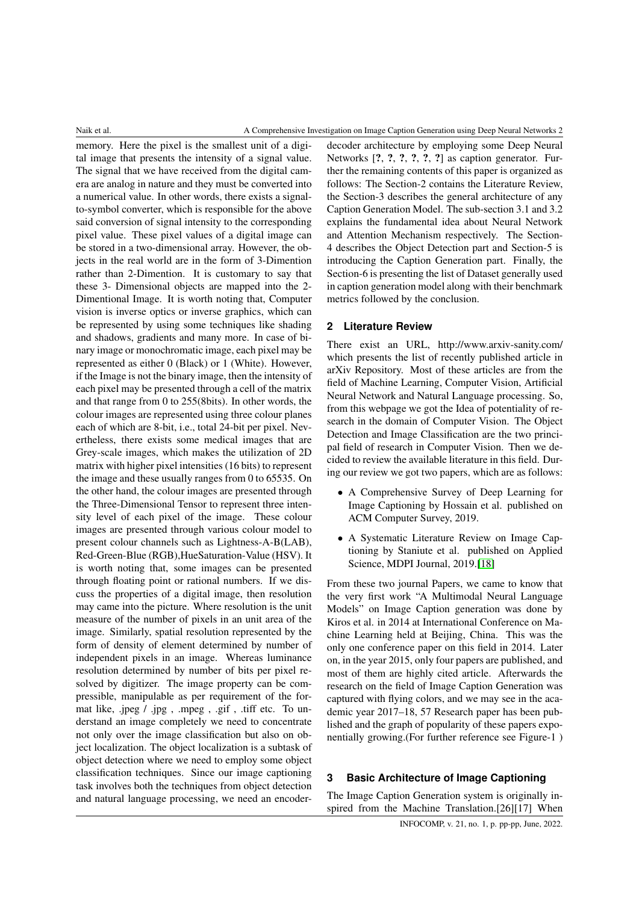memory. Here the pixel is the smallest unit of a digital image that presents the intensity of a signal value. The signal that we have received from the digital camera are analog in nature and they must be converted into a numerical value. In other words, there exists a signalto-symbol converter, which is responsible for the above said conversion of signal intensity to the corresponding pixel value. These pixel values of a digital image can be stored in a two-dimensional array. However, the objects in the real world are in the form of 3-Dimention rather than 2-Dimention. It is customary to say that these 3- Dimensional objects are mapped into the 2- Dimentional Image. It is worth noting that, Computer vision is inverse optics or inverse graphics, which can be represented by using some techniques like shading and shadows, gradients and many more. In case of binary image or monochromatic image, each pixel may be represented as either 0 (Black) or 1 (White). However, if the Image is not the binary image, then the intensity of each pixel may be presented through a cell of the matrix and that range from 0 to 255(8bits). In other words, the colour images are represented using three colour planes each of which are 8-bit, i.e., total 24-bit per pixel. Nevertheless, there exists some medical images that are Grey-scale images, which makes the utilization of 2D matrix with higher pixel intensities (16 bits) to represent the image and these usually ranges from 0 to 65535. On the other hand, the colour images are presented through the Three-Dimensional Tensor to represent three intensity level of each pixel of the image. These colour images are presented through various colour model to present colour channels such as Lightness-A-B(LAB), Red-Green-Blue (RGB),HueSaturation-Value (HSV). It is worth noting that, some images can be presented through floating point or rational numbers. If we discuss the properties of a digital image, then resolution may came into the picture. Where resolution is the unit measure of the number of pixels in an unit area of the image. Similarly, spatial resolution represented by the form of density of element determined by number of independent pixels in an image. Whereas luminance resolution determined by number of bits per pixel resolved by digitizer. The image property can be compressible, manipulable as per requirement of the format like, .jpeg / .jpg , .mpeg , .gif , .tiff etc. To understand an image completely we need to concentrate not only over the image classification but also on object localization. The object localization is a subtask of object detection where we need to employ some object classification techniques. Since our image captioning task involves both the techniques from object detection and natural language processing, we need an encoder-

decoder architecture by employing some Deep Neural Networks  $[?, ?, ?, ?, ?, ?]$  as caption generator. Further the remaining contents of this paper is organized as follows: The Section-2 contains the Literature Review, the Section-3 describes the general architecture of any Caption Generation Model. The sub-section 3.1 and 3.2 explains the fundamental idea about Neural Network and Attention Mechanism respectively. The Section-4 describes the Object Detection part and Section-5 is introducing the Caption Generation part. Finally, the Section-6 is presenting the list of Dataset generally used in caption generation model along with their benchmark metrics followed by the conclusion.

## **2 Literature Review**

There exist an URL, http://www.arxiv-sanity.com/ which presents the list of recently published article in arXiv Repository. Most of these articles are from the field of Machine Learning, Computer Vision, Artificial Neural Network and Natural Language processing. So, from this webpage we got the Idea of potentiality of research in the domain of Computer Vision. The Object Detection and Image Classification are the two principal field of research in Computer Vision. Then we decided to review the available literature in this field. During our review we got two papers, which are as follows:

- A Comprehensive Survey of Deep Learning for Image Captioning by Hossain et al. published on ACM Computer Survey, 2019.
- A Systematic Literature Review on Image Captioning by Staniute et al. published on Applied Science, MDPI Journal, 2019.[\[18\]](#page-8-1)

From these two journal Papers, we came to know that the very first work "A Multimodal Neural Language Models" on Image Caption generation was done by Kiros et al. in 2014 at International Conference on Machine Learning held at Beijing, China. This was the only one conference paper on this field in 2014. Later on, in the year 2015, only four papers are published, and most of them are highly cited article. Afterwards the research on the field of Image Caption Generation was captured with flying colors, and we may see in the academic year 2017–18, 57 Research paper has been published and the graph of popularity of these papers exponentially growing.(For further reference see Figure-1 )

## **3 Basic Architecture of Image Captioning**

The Image Caption Generation system is originally inspired from the Machine Translation.[26][17] When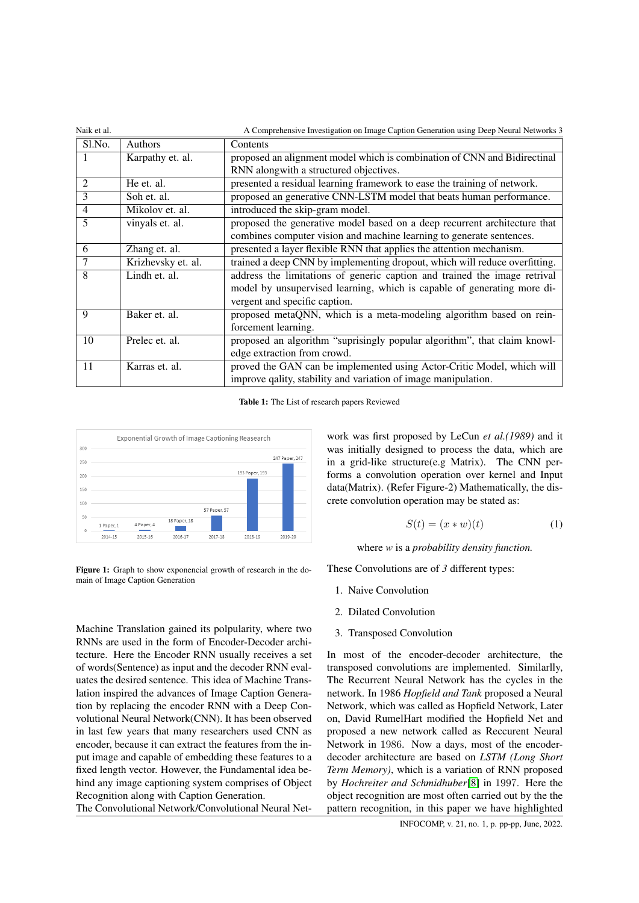| Naik et al.    | A Comprehensive Investigation on Image Caption Generation using Deep Neural Networks 3 |                                                                            |  |  |  |
|----------------|----------------------------------------------------------------------------------------|----------------------------------------------------------------------------|--|--|--|
| Sl.No.         | Authors                                                                                | Contents                                                                   |  |  |  |
|                | Karpathy et. al.                                                                       | proposed an alignment model which is combination of CNN and Bidirectinal   |  |  |  |
|                |                                                                                        | RNN alongwith a structured objectives.                                     |  |  |  |
| 2              | He et. al.                                                                             | presented a residual learning framework to ease the training of network.   |  |  |  |
| 3              | Soh et. al.                                                                            | proposed an generative CNN-LSTM model that beats human performance.        |  |  |  |
| $\overline{4}$ | Mikolov et. al.                                                                        | introduced the skip-gram model.                                            |  |  |  |
| 5              | vinyals et. al.                                                                        | proposed the generative model based on a deep recurrent architecture that  |  |  |  |
|                |                                                                                        | combines computer vision and machine learning to generate sentences.       |  |  |  |
| 6              | Zhang et. al.                                                                          | presented a layer flexible RNN that applies the attention mechanism.       |  |  |  |
| 7              | Krizhevsky et. al.                                                                     | trained a deep CNN by implementing dropout, which will reduce overfitting. |  |  |  |
| 8              | Lindh et. al.                                                                          | address the limitations of generic caption and trained the image retrival  |  |  |  |
|                |                                                                                        | model by unsupervised learning, which is capable of generating more di-    |  |  |  |
|                |                                                                                        | vergent and specific caption.                                              |  |  |  |
| 9              | Baker et. al.                                                                          | proposed metaQNN, which is a meta-modeling algorithm based on rein-        |  |  |  |
|                |                                                                                        | forcement learning.                                                        |  |  |  |
| 10             | Prelec et. al.                                                                         | proposed an algorithm "suprisingly popular algorithm", that claim knowl-   |  |  |  |
|                |                                                                                        | edge extraction from crowd.                                                |  |  |  |
| 11             | Karras et. al.                                                                         | proved the GAN can be implemented using Actor-Critic Model, which will     |  |  |  |
|                |                                                                                        | improve qality, stability and variation of image manipulation.             |  |  |  |

Table 1: The List of research papers Reviewed



Figure 1: Graph to show exponencial growth of research in the domain of Image Caption Generation

Machine Translation gained its polpularity, where two RNNs are used in the form of Encoder-Decoder architecture. Here the Encoder RNN usually receives a set of words(Sentence) as input and the decoder RNN evaluates the desired sentence. This idea of Machine Translation inspired the advances of Image Caption Generation by replacing the encoder RNN with a Deep Convolutional Neural Network(CNN). It has been observed in last few years that many researchers used CNN as encoder, because it can extract the features from the input image and capable of embedding these features to a fixed length vector. However, the Fundamental idea behind any image captioning system comprises of Object Recognition along with Caption Generation.

The Convolutional Network/Convolutional Neural Net-

work was first proposed by LeCun *et al.(1989)* and it was initially designed to process the data, which are in a grid-like structure(e.g Matrix). The CNN performs a convolution operation over kernel and Input data(Matrix). (Refer Figure-2) Mathematically, the discrete convolution operation may be stated as:

$$
S(t) = (x * w)(t)
$$
 (1)

where *w* is a *probability density function.*

These Convolutions are of *3* different types:

- 1. Naive Convolution
- 2. Dilated Convolution
- 3. Transposed Convolution

In most of the encoder-decoder architecture, the transposed convolutions are implemented. Similarlly, The Recurrent Neural Network has the cycles in the network. In 1986 *Hopfield and Tank* proposed a Neural Network, which was called as Hopfield Network, Later on, David RumelHart modified the Hopfield Net and proposed a new network called as Reccurent Neural Network in 1986. Now a days, most of the encoderdecoder architecture are based on *LSTM (Long Short Term Memory)*, which is a variation of RNN proposed by *Hochreiter and Schmidhuber*[\[8\]](#page-8-2) in 1997. Here the object recognition are most often carried out by the the pattern recognition, in this paper we have highlighted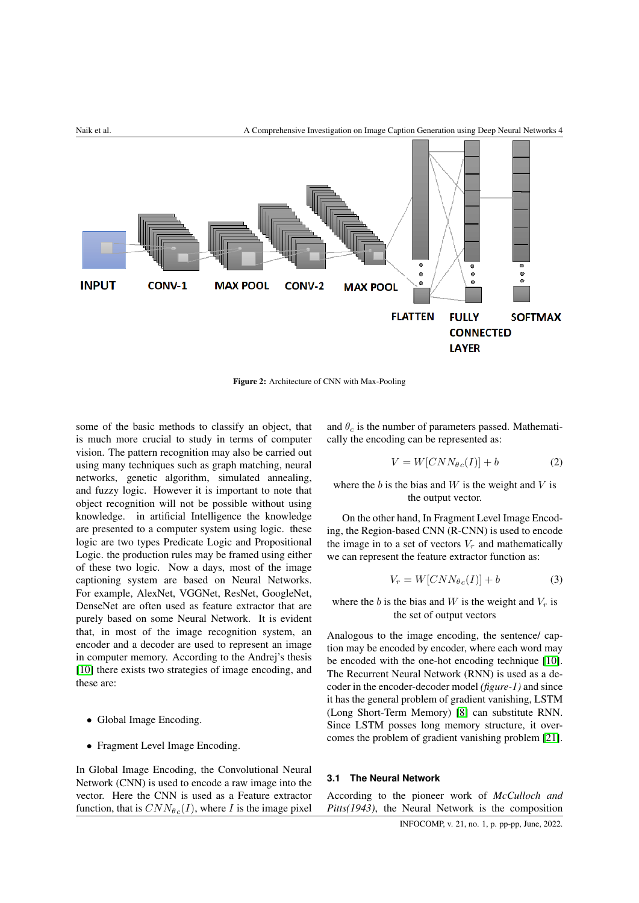

Figure 2: Architecture of CNN with Max-Pooling

some of the basic methods to classify an object, that is much more crucial to study in terms of computer vision. The pattern recognition may also be carried out using many techniques such as graph matching, neural networks, genetic algorithm, simulated annealing, and fuzzy logic. However it is important to note that object recognition will not be possible without using knowledge. in artificial Intelligence the knowledge are presented to a computer system using logic. these logic are two types Predicate Logic and Propositional Logic. the production rules may be framed using either of these two logic. Now a days, most of the image captioning system are based on Neural Networks. For example, AlexNet, VGGNet, ResNet, GoogleNet, DenseNet are often used as feature extractor that are purely based on some Neural Network. It is evident that, in most of the image recognition system, an encoder and a decoder are used to represent an image in computer memory. According to the Andrej's thesis [\[10\]](#page-8-3) there exists two strategies of image encoding, and these are:

- Global Image Encoding.
- Fragment Level Image Encoding.

In Global Image Encoding, the Convolutional Neural Network (CNN) is used to encode a raw image into the vector. Here the CNN is used as a Feature extractor function, that is  $CNN_{\theta c}(I)$ , where I is the image pixel

and  $\theta_c$  is the number of parameters passed. Mathematically the encoding can be represented as:

$$
V = W[CNN_{\theta c}(I)] + b \tag{2}
$$

where the  $b$  is the bias and  $W$  is the weight and  $V$  is the output vector.

On the other hand, In Fragment Level Image Encoding, the Region-based CNN (R-CNN) is used to encode the image in to a set of vectors  $V_r$  and mathematically we can represent the feature extractor function as:

$$
V_r = W[CNN_{\theta c}(I)] + b \tag{3}
$$

where the b is the bias and W is the weight and  $V_r$  is the set of output vectors

Analogous to the image encoding, the sentence/ caption may be encoded by encoder, where each word may be encoded with the one-hot encoding technique [\[10\]](#page-8-3). The Recurrent Neural Network (RNN) is used as a decoder in the encoder-decoder model *(figure-1)* and since it has the general problem of gradient vanishing, LSTM (Long Short-Term Memory) [\[8\]](#page-8-2) can substitute RNN. Since LSTM posses long memory structure, it overcomes the problem of gradient vanishing problem [\[21\]](#page-9-0).

## **3.1 The Neural Network**

According to the pioneer work of *McCulloch and Pitts(1943)*, the Neural Network is the composition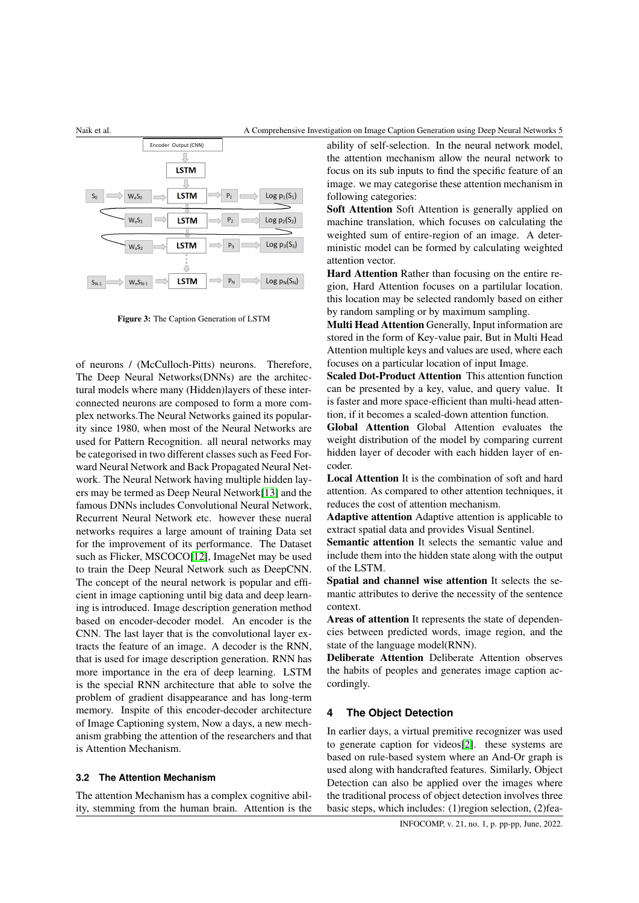

#### Naik et al. A Comprehensive Investigation on Image Caption Generation using Deep Neural Networks 5



Figure 3: The Caption Generation of LSTM

of neurons / (McCulloch-Pitts) neurons. Therefore, The Deep Neural Networks(DNNs) are the architectural models where many (Hidden)layers of these interconnected neurons are composed to form a more complex networks.The Neural Networks gained its popularity since 1980, when most of the Neural Networks are used for Pattern Recognition. all neural networks may be categorised in two different classes such as Feed Forward Neural Network and Back Propagated Neural Network. The Neural Network having multiple hidden layers may be termed as Deep Neural Network[\[13\]](#page-8-4) and the famous DNNs includes Convolutional Neural Network, Recurrent Neural Network etc. however these nueral networks requires a large amount of training Data set for the improvement of its performance. The Dataset such as Flicker, MSCOCO[\[12\]](#page-8-5), ImageNet may be used to train the Deep Neural Network such as DeepCNN. The concept of the neural network is popular and efficient in image captioning until big data and deep learning is introduced. Image description generation method based on encoder-decoder model. An encoder is the CNN. The last layer that is the convolutional layer extracts the feature of an image. A decoder is the RNN, that is used for image description generation. RNN has more importance in the era of deep learning. LSTM is the special RNN architecture that able to solve the problem of gradient disappearance and has long-term memory. Inspite of this encoder-decoder architecture of Image Captioning system, Now a days, a new mechanism grabbing the attention of the researchers and that is Attention Mechanism.

#### **3.2 The Attention Mechanism**

The attention Mechanism has a complex cognitive ability, stemming from the human brain. Attention is the ability of self-selection. In the neural network model, the attention mechanism allow the neural network to focus on its sub inputs to find the specific feature of an image. we may categorise these attention mechanism in following categories:

Soft Attention Soft Attention is generally applied on machine translation, which focuses on calculating the weighted sum of entire-region of an image. A deterministic model can be formed by calculating weighted attention vector.

Hard Attention Rather than focusing on the entire region, Hard Attention focuses on a partilular location. this location may be selected randomly based on either by random sampling or by maximum sampling.

Multi Head Attention Generally, Input information are stored in the form of Key-value pair, But in Multi Head Attention multiple keys and values are used, where each focuses on a particular location of input Image.

Scaled Dot-Product Attention This attention function can be presented by a key, value, and query value. It is faster and more space-efficient than multi-head attention, if it becomes a scaled-down attention function.

Global Attention Global Attention evaluates the weight distribution of the model by comparing current hidden layer of decoder with each hidden layer of encoder.

Local Attention It is the combination of soft and hard attention. As compared to other attention techniques, it reduces the cost of attention mechanism.

Adaptive attention Adaptive attention is applicable to extract spatial data and provides Visual Sentinel.

Semantic attention It selects the semantic value and include them into the hidden state along with the output of the LSTM.

Spatial and channel wise attention It selects the semantic attributes to derive the necessity of the sentence context.

Areas of attention It represents the state of dependencies between predicted words, image region, and the state of the language model(RNN).

Deliberate Attention Deliberate Attention observes the habits of peoples and generates image caption accordingly.

#### **4 The Object Detection**

In earlier days, a virtual premitive recognizer was used to generate caption for videos[\[2\]](#page-7-0). these systems are based on rule-based system where an And-Or graph is used along with handcrafted features. Similarly, Object Detection can also be applied over the images where the traditional process of object detection involves three basic steps, which includes: (1)region selection, (2)fea-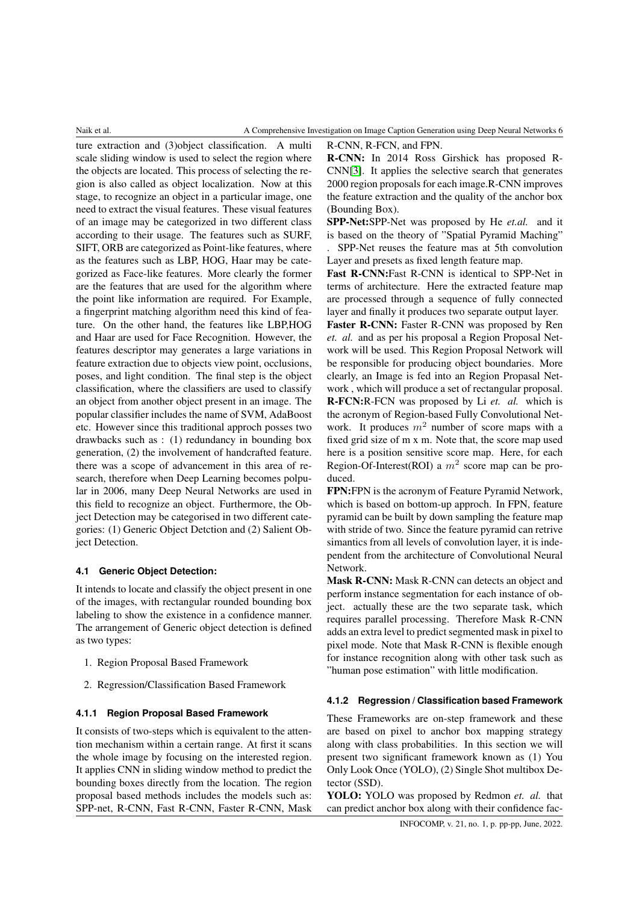R-CNN, R-FCN, and FPN.

# ture extraction and (3)object classification. A multi scale sliding window is used to select the region where the objects are located. This process of selecting the region is also called as object localization. Now at this stage, to recognize an object in a particular image, one need to extract the visual features. These visual features of an image may be categorized in two different class according to their usage. The features such as SURF, SIFT, ORB are categorized as Point-like features, where as the features such as LBP, HOG, Haar may be categorized as Face-like features. More clearly the former are the features that are used for the algorithm where the point like information are required. For Example, a fingerprint matching algorithm need this kind of feature. On the other hand, the features like LBP,HOG and Haar are used for Face Recognition. However, the features descriptor may generates a large variations in feature extraction due to objects view point, occlusions, poses, and light condition. The final step is the object classification, where the classifiers are used to classify an object from another object present in an image. The popular classifier includes the name of SVM, AdaBoost etc. However since this traditional approch posses two drawbacks such as : (1) redundancy in bounding box generation, (2) the involvement of handcrafted feature. there was a scope of advancement in this area of research, therefore when Deep Learning becomes polpular in 2006, many Deep Neural Networks are used in this field to recognize an object. Furthermore, the Object Detection may be categorised in two different categories: (1) Generic Object Detction and (2) Salient Object Detection.

#### **4.1 Generic Object Detection:**

It intends to locate and classify the object present in one of the images, with rectangular rounded bounding box labeling to show the existence in a confidence manner. The arrangement of Generic object detection is defined as two types:

- 1. Region Proposal Based Framework
- 2. Regression/Classification Based Framework

#### **4.1.1 Region Proposal Based Framework**

It consists of two-steps which is equivalent to the attention mechanism within a certain range. At first it scans the whole image by focusing on the interested region. It applies CNN in sliding window method to predict the bounding boxes directly from the location. The region proposal based methods includes the models such as: SPP-net, R-CNN, Fast R-CNN, Faster R-CNN, Mask

R-CNN: In 2014 Ross Girshick has proposed R-CNN[\[3\]](#page-8-6). It applies the selective search that generates 2000 region proposals for each image.R-CNN improves the feature extraction and the quality of the anchor box (Bounding Box).

SPP-Net:SPP-Net was proposed by He *et.al.* and it is based on the theory of "Spatial Pyramid Maching" . SPP-Net reuses the feature mas at 5th convolution Layer and presets as fixed length feature map.

Fast R-CNN:Fast R-CNN is identical to SPP-Net in terms of architecture. Here the extracted feature map are processed through a sequence of fully connected layer and finally it produces two separate output layer.

Faster R-CNN: Faster R-CNN was proposed by Ren *et. al.* and as per his proposal a Region Proposal Network will be used. This Region Proposal Network will be responsible for producing object boundaries. More clearly, an Image is fed into an Region Propasal Network , which will produce a set of rectangular proposal. R-FCN:R-FCN was proposed by Li *et. al.* which is the acronym of Region-based Fully Convolutional Network. It produces  $m^2$  number of score maps with a fixed grid size of m x m. Note that, the score map used here is a position sensitive score map. Here, for each Region-Of-Interest(ROI) a  $m^2$  score map can be produced.

FPN:FPN is the acronym of Feature Pyramid Network, which is based on bottom-up approch. In FPN, feature pyramid can be built by down sampling the feature map with stride of two. Since the feature pyramid can retrive simantics from all levels of convolution layer, it is independent from the architecture of Convolutional Neural Network.

Mask R-CNN: Mask R-CNN can detects an object and perform instance segmentation for each instance of object. actually these are the two separate task, which requires parallel processing. Therefore Mask R-CNN adds an extra level to predict segmented mask in pixel to pixel mode. Note that Mask R-CNN is flexible enough for instance recognition along with other task such as "human pose estimation" with little modification.

#### **4.1.2 Regression / Classification based Framework**

These Frameworks are on-step framework and these are based on pixel to anchor box mapping strategy along with class probabilities. In this section we will present two significant framework known as (1) You Only Look Once (YOLO), (2) Single Shot multibox Detector (SSD).

YOLO: YOLO was proposed by Redmon *et. al.* that can predict anchor box along with their confidence fac-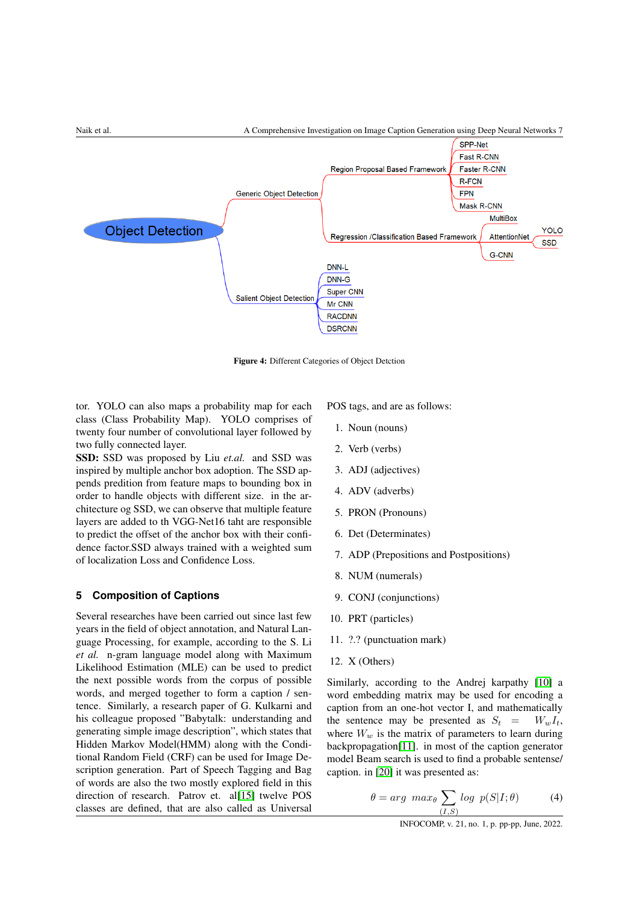

Figure 4: Different Categories of Object Detction

tor. YOLO can also maps a probability map for each class (Class Probability Map). YOLO comprises of twenty four number of convolutional layer followed by two fully connected layer.

SSD: SSD was proposed by Liu *et.al.* and SSD was inspired by multiple anchor box adoption. The SSD appends predition from feature maps to bounding box in order to handle objects with different size. in the architecture og SSD, we can observe that multiple feature layers are added to th VGG-Net16 taht are responsible to predict the offset of the anchor box with their confidence factor.SSD always trained with a weighted sum of localization Loss and Confidence Loss.

## **5 Composition of Captions**

Several researches have been carried out since last few years in the field of object annotation, and Natural Language Processing, for example, according to the S. Li *et al.* n-gram language model along with Maximum Likelihood Estimation (MLE) can be used to predict the next possible words from the corpus of possible words, and merged together to form a caption / sentence. Similarly, a research paper of G. Kulkarni and his colleague proposed "Babytalk: understanding and generating simple image description", which states that Hidden Markov Model(HMM) along with the Conditional Random Field (CRF) can be used for Image Description generation. Part of Speech Tagging and Bag of words are also the two mostly explored field in this direction of research. Patrov et. al[\[15\]](#page-8-7) twelve POS classes are defined, that are also called as Universal

POS tags, and are as follows:

- 1. Noun (nouns)
- 2. Verb (verbs)
- 3. ADJ (adjectives)
- 4. ADV (adverbs)
- 5. PRON (Pronouns)
- 6. Det (Determinates)
- 7. ADP (Prepositions and Postpositions)
- 8. NUM (numerals)
- 9. CONJ (conjunctions)
- 10. PRT (particles)
- 11. ?.? (punctuation mark)
- 12. X (Others)

Similarly, according to the Andrej karpathy [\[10\]](#page-8-3) a word embedding matrix may be used for encoding a caption from an one-hot vector I, and mathematically the sentence may be presented as  $S_t = W_w I_t$ , where  $W_w$  is the matrix of parameters to learn during backpropagation[\[11\]](#page-8-8). in most of the caption generator model Beam search is used to find a probable sentense/ caption. in [\[20\]](#page-9-1) it was presented as:

$$
\theta = arg \; max_{\theta} \sum_{(I,S)} log \; p(S|I; \theta) \tag{4}
$$

INFOCOMP, v. 21, no. 1, p. pp-pp, June, 2022.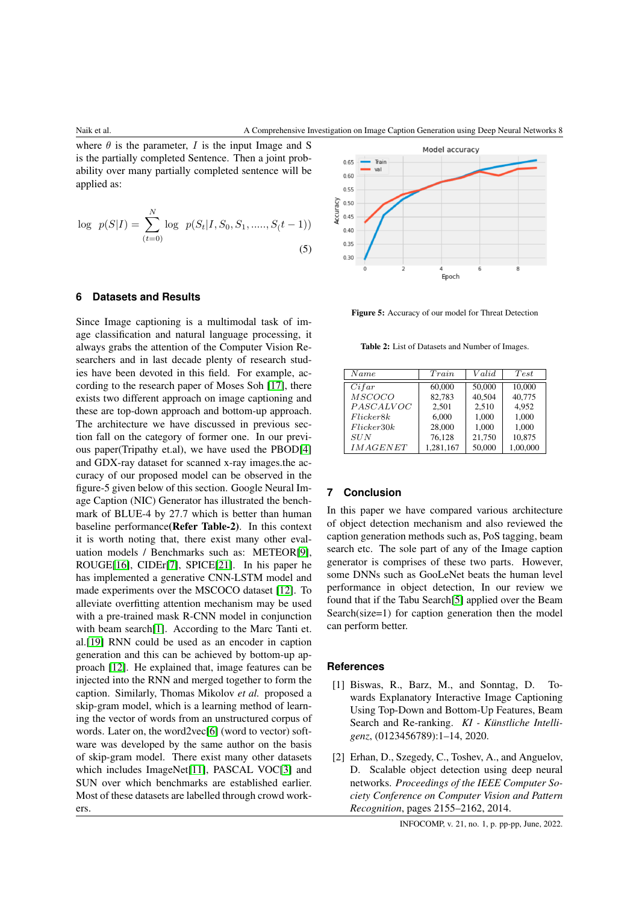where  $\theta$  is the parameter, I is the input Image and S is the partially completed Sentence. Then a joint probability over many partially completed sentence will be applied as:

$$
\log p(S|I) = \sum_{(t=0)}^{N} \log p(S_t|I, S_0, S_1, \dots, S(t-1))
$$
\n(5)

#### **6 Datasets and Results**

Since Image captioning is a multimodal task of image classification and natural language processing, it always grabs the attention of the Computer Vision Researchers and in last decade plenty of research studies have been devoted in this field. For example, according to the research paper of Moses Soh [\[17\]](#page-8-9), there exists two different approach on image captioning and these are top-down approach and bottom-up approach. The architecture we have discussed in previous section fall on the category of former one. In our previous paper(Tripathy et.al), we have used the PBOD[\[4\]](#page-8-10) and GDX-ray dataset for scanned x-ray images.the accuracy of our proposed model can be observed in the figure-5 given below of this section. Google Neural Image Caption (NIC) Generator has illustrated the benchmark of BLUE-4 by 27.7 which is better than human baseline performance(Refer Table-2). In this context it is worth noting that, there exist many other evaluation models / Benchmarks such as: METEOR[\[9\]](#page-8-11), ROUGE[\[16\]](#page-8-12), CIDEr[\[7\]](#page-8-13), SPICE[\[21\]](#page-9-0). In his paper he has implemented a generative CNN-LSTM model and made experiments over the MSCOCO dataset [\[12\]](#page-8-5). To alleviate overfitting attention mechanism may be used with a pre-trained mask R-CNN model in conjunction with beam search[\[1\]](#page-7-1). According to the Marc Tanti et. al.[\[19\]](#page-8-14) RNN could be used as an encoder in caption generation and this can be achieved by bottom-up approach [\[12\]](#page-8-5). He explained that, image features can be injected into the RNN and merged together to form the caption. Similarly, Thomas Mikolov *et al.* proposed a skip-gram model, which is a learning method of learning the vector of words from an unstructured corpus of words. Later on, the word2vec[\[6\]](#page-8-15) (word to vector) software was developed by the same author on the basis of skip-gram model. There exist many other datasets which includes ImageNet[\[11\]](#page-8-8), PASCAL VOC[\[3\]](#page-8-6) and SUN over which benchmarks are established earlier. Most of these datasets are labelled through crowd workers.



Figure 5: Accuracy of our model for Threat Detection

Table 2: List of Datasets and Number of Images.

| Name            | Train     | Valid  | Test     |
|-----------------|-----------|--------|----------|
| Cifar           | 60,000    | 50,000 | 10.000   |
| <b>MSCOCO</b>   | 82,783    | 40,504 | 40,775   |
| PASCALVOC       | 2.501     | 2,510  | 4.952    |
| Flicker8k       | 6.000     | 1.000  | 1.000    |
| Flicker 30k     | 28,000    | 1,000  | 1.000    |
| SUN             | 76,128    | 21,750 | 10,875   |
| <i>IMAGENET</i> | 1,281,167 | 50,000 | 1,00,000 |

## **7 Conclusion**

In this paper we have compared various architecture of object detection mechanism and also reviewed the caption generation methods such as, PoS tagging, beam search etc. The sole part of any of the Image caption generator is comprises of these two parts. However, some DNNs such as GooLeNet beats the human level performance in object detection, In our review we found that if the Tabu Search[\[5\]](#page-8-16) applied over the Beam Search(size=1) for caption generation then the model can perform better.

#### <span id="page-7-1"></span>**References**

- [1] Biswas, R., Barz, M., and Sonntag, D. Towards Explanatory Interactive Image Captioning Using Top-Down and Bottom-Up Features, Beam Search and Re-ranking. *KI - Künstliche Intelligenz*, (0123456789):1–14, 2020.
- <span id="page-7-0"></span>[2] Erhan, D., Szegedy, C., Toshev, A., and Anguelov, D. Scalable object detection using deep neural networks. *Proceedings of the IEEE Computer Society Conference on Computer Vision and Pattern Recognition*, pages 2155–2162, 2014.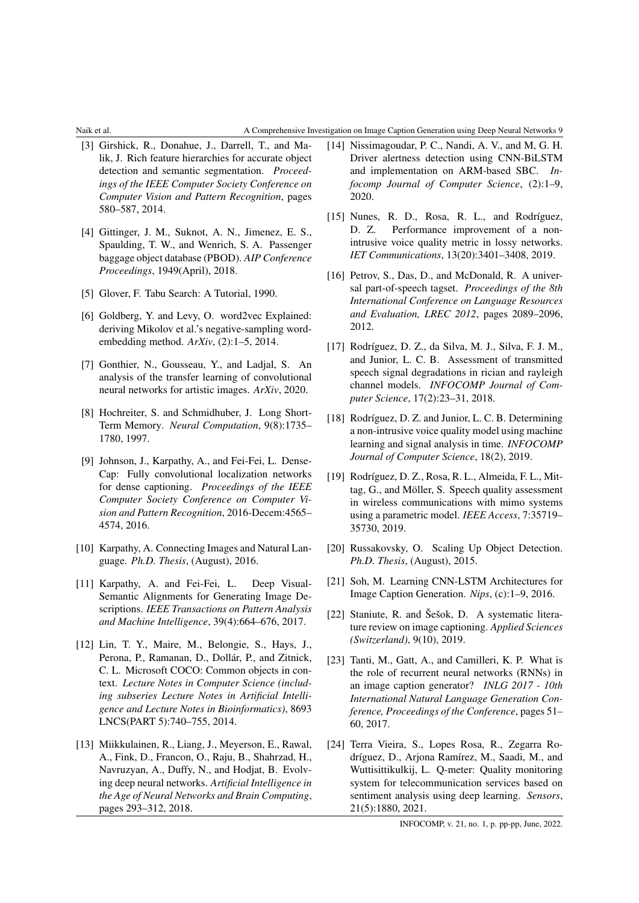#### Naik et al. A Comprehensive Investigation on Image Caption Generation using Deep Neural Networks 9

- <span id="page-8-6"></span>[3] Girshick, R., Donahue, J., Darrell, T., and Malik, J. Rich feature hierarchies for accurate object detection and semantic segmentation. *Proceedings of the IEEE Computer Society Conference on Computer Vision and Pattern Recognition*, pages 580–587, 2014.
- <span id="page-8-10"></span>[4] Gittinger, J. M., Suknot, A. N., Jimenez, E. S., Spaulding, T. W., and Wenrich, S. A. Passenger baggage object database (PBOD). *AIP Conference Proceedings*, 1949(April), 2018.
- <span id="page-8-16"></span>[5] Glover, F. Tabu Search: A Tutorial, 1990.
- <span id="page-8-15"></span>[6] Goldberg, Y. and Levy, O. word2vec Explained: deriving Mikolov et al.'s negative-sampling wordembedding method. *ArXiv*, (2):1–5, 2014.
- <span id="page-8-13"></span>[7] Gonthier, N., Gousseau, Y., and Ladjal, S. An analysis of the transfer learning of convolutional neural networks for artistic images. *ArXiv*, 2020.
- <span id="page-8-2"></span>[8] Hochreiter, S. and Schmidhuber, J. Long Short-Term Memory. *Neural Computation*, 9(8):1735– 1780, 1997.
- <span id="page-8-11"></span>[9] Johnson, J., Karpathy, A., and Fei-Fei, L. Dense-Cap: Fully convolutional localization networks for dense captioning. *Proceedings of the IEEE Computer Society Conference on Computer Vision and Pattern Recognition*, 2016-Decem:4565– 4574, 2016.
- <span id="page-8-3"></span>[10] Karpathy, A. Connecting Images and Natural Language. *Ph.D. Thesis*, (August), 2016.
- <span id="page-8-8"></span>[11] Karpathy, A. and Fei-Fei, L. Deep Visual-Semantic Alignments for Generating Image Descriptions. *IEEE Transactions on Pattern Analysis and Machine Intelligence*, 39(4):664–676, 2017.
- <span id="page-8-5"></span>[12] Lin, T. Y., Maire, M., Belongie, S., Hays, J., Perona, P., Ramanan, D., Dollár, P., and Zitnick, C. L. Microsoft COCO: Common objects in context. *Lecture Notes in Computer Science (including subseries Lecture Notes in Artificial Intelligence and Lecture Notes in Bioinformatics)*, 8693 LNCS(PART 5):740–755, 2014.
- <span id="page-8-4"></span>[13] Miikkulainen, R., Liang, J., Meyerson, E., Rawal, A., Fink, D., Francon, O., Raju, B., Shahrzad, H., Navruzyan, A., Duffy, N., and Hodjat, B. Evolving deep neural networks. *Artificial Intelligence in the Age of Neural Networks and Brain Computing*, pages 293–312, 2018.
- <span id="page-8-0"></span>[14] Nissimagoudar, P. C., Nandi, A. V., and M, G. H. Driver alertness detection using CNN-BiLSTM and implementation on ARM-based SBC. *Infocomp Journal of Computer Science*, (2):1–9, 2020.
- [15] Nunes, R. D., Rosa, R. L., and Rodríguez, D. Z. Performance improvement of a nonintrusive voice quality metric in lossy networks. *IET Communications*, 13(20):3401–3408, 2019.
- <span id="page-8-7"></span>[16] Petrov, S., Das, D., and McDonald, R. A universal part-of-speech tagset. *Proceedings of the 8th International Conference on Language Resources and Evaluation, LREC 2012*, pages 2089–2096, 2012.
- [17] Rodríguez, D. Z., da Silva, M. J., Silva, F. J. M., and Junior, L. C. B. Assessment of transmitted speech signal degradations in rician and rayleigh channel models. *INFOCOMP Journal of Computer Science*, 17(2):23–31, 2018.
- [18] Rodríguez, D. Z. and Junior, L. C. B. Determining a non-intrusive voice quality model using machine learning and signal analysis in time. *INFOCOMP Journal of Computer Science*, 18(2), 2019.
- [19] Rodríguez, D. Z., Rosa, R. L., Almeida, F. L., Mittag, G., and Möller, S. Speech quality assessment in wireless communications with mimo systems using a parametric model. *IEEE Access*, 7:35719– 35730, 2019.
- <span id="page-8-12"></span>[20] Russakovsky, O. Scaling Up Object Detection. *Ph.D. Thesis*, (August), 2015.
- <span id="page-8-9"></span>[21] Soh, M. Learning CNN-LSTM Architectures for Image Caption Generation. *Nips*, (c):1–9, 2016.
- <span id="page-8-1"></span>[22] Staniute, R. and Šešok, D. A systematic literature review on image captioning. *Applied Sciences (Switzerland)*, 9(10), 2019.
- <span id="page-8-14"></span>[23] Tanti, M., Gatt, A., and Camilleri, K. P. What is the role of recurrent neural networks (RNNs) in an image caption generator? *INLG 2017 - 10th International Natural Language Generation Conference, Proceedings of the Conference*, pages 51– 60, 2017.
- [24] Terra Vieira, S., Lopes Rosa, R., Zegarra Rodríguez, D., Arjona Ramírez, M., Saadi, M., and Wuttisittikulkij, L. Q-meter: Quality monitoring system for telecommunication services based on sentiment analysis using deep learning. *Sensors*, 21(5):1880, 2021.